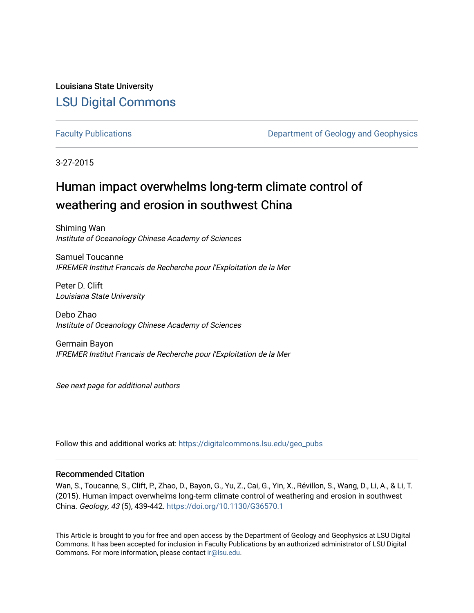Louisiana State University [LSU Digital Commons](https://digitalcommons.lsu.edu/)

[Faculty Publications](https://digitalcommons.lsu.edu/geo_pubs) **Exercise 2** Department of Geology and Geophysics

3-27-2015

# Human impact overwhelms long-term climate control of weathering and erosion in southwest China

Shiming Wan Institute of Oceanology Chinese Academy of Sciences

Samuel Toucanne IFREMER Institut Francais de Recherche pour l'Exploitation de la Mer

Peter D. Clift Louisiana State University

Debo Zhao Institute of Oceanology Chinese Academy of Sciences

Germain Bayon IFREMER Institut Francais de Recherche pour l'Exploitation de la Mer

See next page for additional authors

Follow this and additional works at: [https://digitalcommons.lsu.edu/geo\\_pubs](https://digitalcommons.lsu.edu/geo_pubs?utm_source=digitalcommons.lsu.edu%2Fgeo_pubs%2F383&utm_medium=PDF&utm_campaign=PDFCoverPages)

#### Recommended Citation

Wan, S., Toucanne, S., Clift, P., Zhao, D., Bayon, G., Yu, Z., Cai, G., Yin, X., Révillon, S., Wang, D., Li, A., & Li, T. (2015). Human impact overwhelms long-term climate control of weathering and erosion in southwest China. Geology, 43 (5), 439-442.<https://doi.org/10.1130/G36570.1>

This Article is brought to you for free and open access by the Department of Geology and Geophysics at LSU Digital Commons. It has been accepted for inclusion in Faculty Publications by an authorized administrator of LSU Digital Commons. For more information, please contact [ir@lsu.edu](mailto:ir@lsu.edu).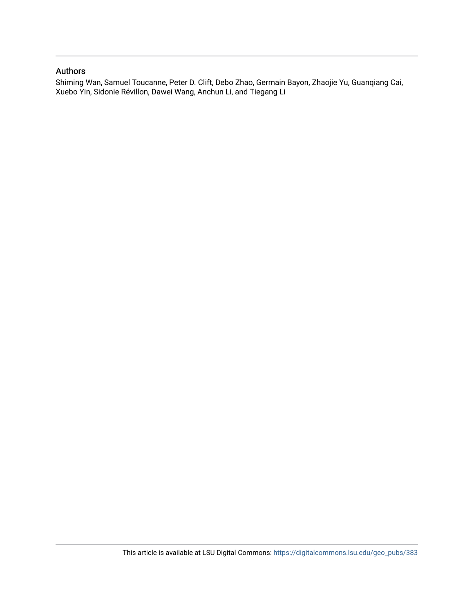#### Authors

Shiming Wan, Samuel Toucanne, Peter D. Clift, Debo Zhao, Germain Bayon, Zhaojie Yu, Guanqiang Cai, Xuebo Yin, Sidonie Révillon, Dawei Wang, Anchun Li, and Tiegang Li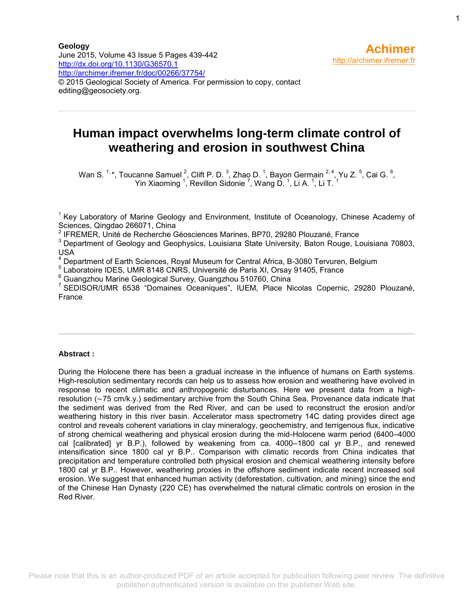**Geology** June 2015, Volume 43 Issue 5 Pages 439-442 <http://dx.doi.org/10.1130/G36570.1> <http://archimer.ifremer.fr/doc/00266/37754/> © 2015 Geological Society of America. For permission to copy, contact editing@geosociety.org.

## **Human impact overwhelms long-term climate control of weathering and erosion in southwest China**

Wan S.  $1, *$ , Toucanne Samuel  $^{2}$ , Clift P. D.  $^{3}$ , Zhao D.  $^{1}$ , Bayon Germain  $^{2, 4}$ , Yu Z.  $^{5}$ , Cai G.  $^{6}$ , Yin Xiaoming  $^1$ , Revillon Sidonie  $^7$ , Wang D.  $^1$ , Li A.  $^1$ , Li T.  $^1$ 

<sup>1</sup> Key Laboratory of Marine Geology and Environment, Institute of Oceanology, Chinese Academy of Sciences, Qingdao 266071, China

2 IFREMER, Unité de Recherche Géosciences Marines, BP70, 29280 Plouzané, France

<sup>3</sup> Department of Geology and Geophysics, Louisiana State University, Baton Rouge, Louisiana 70803, USA

<sup>4</sup> Department of Earth Sciences, Royal Museum for Central Africa, B-3080 Tervuren, Belgium

5 Laboratoire IDES, UMR 8148 CNRS, Université de Paris XI, Orsay 91405, France

<sup>6</sup> Guangzhou Marine Geological Survey, Guangzhou 510760, China

7 SEDISOR/UMR 6538 "Domaines Oceaniques", IUEM, Place Nicolas Copernic, 29280 Plouzané, France

#### **Abstract :**

During the Holocene there has been a gradual increase in the influence of humans on Earth systems. High-resolution sedimentary records can help us to assess how erosion and weathering have evolved in response to recent climatic and anthropogenic disturbances. Here we present data from a highresolution (∼75 cm/k.y.) sedimentary archive from the South China Sea. Provenance data indicate that the sediment was derived from the Red River, and can be used to reconstruct the erosion and/or weathering history in this river basin. Accelerator mass spectrometry 14C dating provides direct age control and reveals coherent variations in clay mineralogy, geochemistry, and terrigenous flux, indicative of strong chemical weathering and physical erosion during the mid-Holocene warm period (6400–4000 cal [calibrated] yr B.P.), followed by weakening from ca. 4000–1800 cal yr B.P., and renewed intensification since 1800 cal yr B.P.. Comparison with climatic records from China indicates that precipitation and temperature controlled both physical erosion and chemical weathering intensity before 1800 cal yr B.P.. However, weathering proxies in the offshore sediment indicate recent increased soil erosion. We suggest that enhanced human activity (deforestation, cultivation, and mining) since the end of the Chinese Han Dynasty (220 CE) has overwhelmed the natural climatic controls on erosion in the Red River.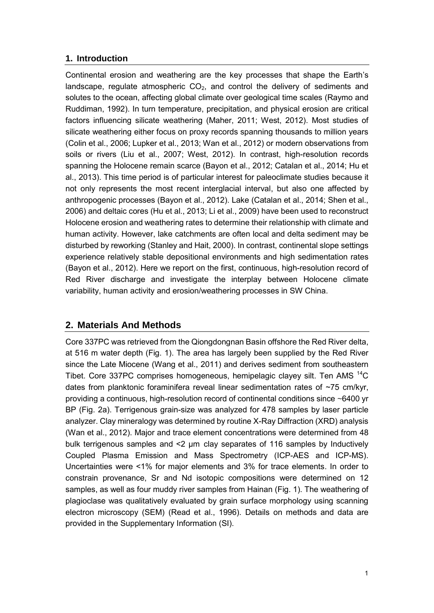#### **1. Introduction**

Continental erosion and weathering are the key processes that shape the Earth's landscape, regulate atmospheric  $CO<sub>2</sub>$ , and control the delivery of sediments and solutes to the ocean, affecting global climate over geological time scales (Raymo and Ruddiman, 1992). In turn temperature, precipitation, and physical erosion are critical factors influencing silicate weathering (Maher, 2011; West, 2012). Most studies of silicate weathering either focus on proxy records spanning thousands to million years (Colin et al., 2006; Lupker et al., 2013; Wan et al., 2012) or modern observations from soils or rivers (Liu et al., 2007; West, 2012). In contrast, high-resolution records spanning the Holocene remain scarce (Bayon et al., 2012; Catalan et al., 2014; Hu et al., 2013). This time period is of particular interest for paleoclimate studies because it not only represents the most recent interglacial interval, but also one affected by anthropogenic processes (Bayon et al., 2012). Lake (Catalan et al., 2014; Shen et al., 2006) and deltaic cores (Hu et al., 2013; Li et al., 2009) have been used to reconstruct Holocene erosion and weathering rates to determine their relationship with climate and human activity. However, lake catchments are often local and delta sediment may be disturbed by reworking (Stanley and Hait, 2000). In contrast, continental slope settings experience relatively stable depositional environments and high sedimentation rates (Bayon et al., 2012). Here we report on the first, continuous, high-resolution record of Red River discharge and investigate the interplay between Holocene climate variability, human activity and erosion/weathering processes in SW China.

## **2. Materials And Methods**

Core 337PC was retrieved from the Qiongdongnan Basin offshore the Red River delta, at 516 m water depth (Fig. 1). The area has largely been supplied by the Red River since the Late Miocene (Wang et al., 2011) and derives sediment from southeastern Tibet. Core 337PC comprises homogeneous, hemipelagic clayey silt. Ten AMS <sup>14</sup>C dates from planktonic foraminifera reveal linear sedimentation rates of ~75 cm/kyr, providing a continuous, high-resolution record of continental conditions since *~*6400 yr BP (Fig. 2a). Terrigenous grain-size was analyzed for 478 samples by laser particle analyzer. Clay mineralogy was determined by routine X-Ray Diffraction (XRD) analysis (Wan et al., 2012). Major and trace element concentrations were determined from 48 bulk terrigenous samples and <2 μm clay separates of 116 samples by Inductively Coupled Plasma Emission and Mass Spectrometry (ICP-AES and ICP-MS). Uncertainties were <1% for major elements and 3% for trace elements. In order to constrain provenance, Sr and Nd isotopic compositions were determined on 12 samples, as well as four muddy river samples from Hainan (Fig. 1). The weathering of plagioclase was qualitatively evaluated by grain surface morphology using scanning electron microscopy (SEM) (Read et al., 1996). Details on methods and data are provided in the Supplementary Information (SI).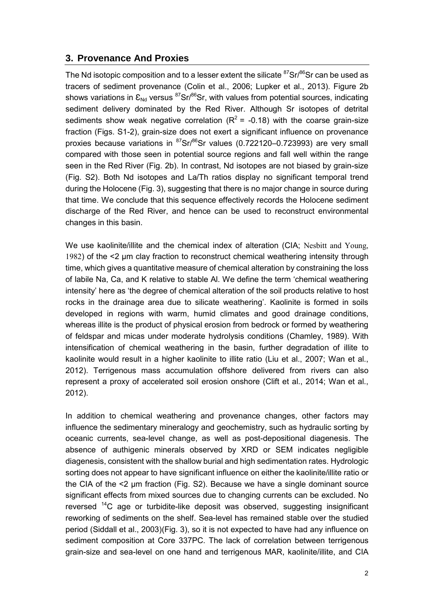## **3. Provenance And Proxies**

The Nd isotopic composition and to a lesser extent the silicate  ${}^{87}Sr/{}^{86}Sr$  can be used as tracers of sediment provenance (Colin et al., 2006; Lupker et al., 2013). Figure 2b shows variations in  $\epsilon_{\rm Nd}$  versus <sup>87</sup>Sr/<sup>86</sup>Sr, with values from potential sources, indicating sediment delivery dominated by the Red River. Although Sr isotopes of detrital sediments show weak negative correlation ( $R^2$  = -0.18) with the coarse grain-size fraction (Figs. S1-2), grain-size does not exert a significant influence on provenance proxies because variations in  ${}^{87}Sr/{}^{86}Sr$  values (0.722120–0.723993) are very small compared with those seen in potential source regions and fall well within the range seen in the Red River (Fig. 2b). In contrast, Nd isotopes are not biased by grain-size (Fig. S2). Both Nd isotopes and La/Th ratios display no significant temporal trend during the Holocene (Fig. 3), suggesting that there is no major change in source during that time. We conclude that this sequence effectively records the Holocene sediment discharge of the Red River, and hence can be used to reconstruct environmental changes in this basin.

We use kaolinite/illite and the chemical index of alteration (CIA; Nesbitt and Young, 1982) of the <2 μm clay fraction to reconstruct chemical weathering intensity through time, which gives a quantitative measure of chemical alteration by constraining the loss of labile Na, Ca, and K relative to stable Al. We define the term 'chemical weathering intensity' here as 'the degree of chemical alteration of the soil products relative to host rocks in the drainage area due to silicate weathering'. Kaolinite is formed in soils developed in regions with warm, humid climates and good drainage conditions, whereas illite is the product of physical erosion from bedrock or formed by weathering of feldspar and micas under moderate hydrolysis conditions (Chamley, 1989). With intensification of chemical weathering in the basin, further degradation of illite to kaolinite would result in a higher kaolinite to illite ratio (Liu et al., 2007; Wan et al., 2012). Terrigenous mass accumulation offshore delivered from rivers can also represent a proxy of accelerated soil erosion onshore (Clift et al., 2014; Wan et al., 2012).

In addition to chemical weathering and provenance changes, other factors may influence the sedimentary mineralogy and geochemistry, such as hydraulic sorting by oceanic currents, sea-level change, as well as post-depositional diagenesis. The absence of authigenic minerals observed by XRD or SEM indicates negligible diagenesis, consistent with the shallow burial and high sedimentation rates. Hydrologic sorting does not appear to have significant influence on either the kaolinite/illite ratio or the CIA of the <2 μm fraction (Fig. S2). Because we have a single dominant source significant effects from mixed sources due to changing currents can be excluded. No reversed <sup>14</sup>C age or turbidite-like deposit was observed, suggesting insignificant reworking of sediments on the shelf. Sea-level has remained stable over the studied period (Siddall et al., 2003)(Fig. 3), so it is not expected to have had any influence on sediment composition at Core 337PC. The lack of correlation between terrigenous grain-size and sea-level on one hand and terrigenous MAR, kaolinite/illite, and CIA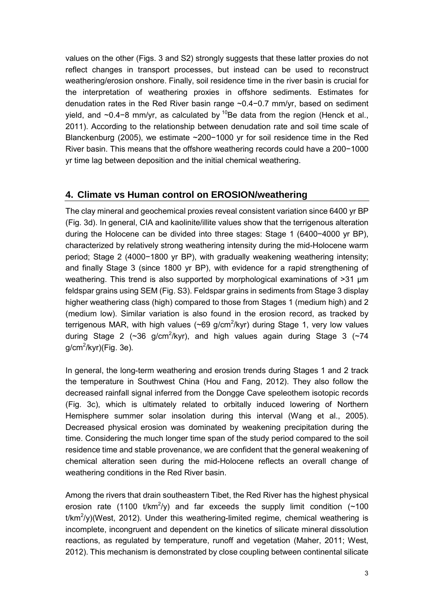values on the other (Figs. 3 and S2) strongly suggests that these latter proxies do not reflect changes in transport processes, but instead can be used to reconstruct weathering/erosion onshore. Finally, soil residence time in the river basin is crucial for the interpretation of weathering proxies in offshore sediments. Estimates for denudation rates in the Red River basin range ~0.4−0.7 mm/yr, based on sediment yield, and ~0.4−8 mm/yr, as calculated by <sup>10</sup>Be data from the region (Henck et al., 2011). According to the relationship between denudation rate and soil time scale of Blanckenburg (2005), we estimate ~200−1000 yr for soil residence time in the Red River basin. This means that the offshore weathering records could have a 200−1000 yr time lag between deposition and the initial chemical weathering.

## **4. Climate vs Human control on EROSION/weathering**

The clay mineral and geochemical proxies reveal consistent variation since 6400 yr BP (Fig. 3d). In general, CIA and kaolinite/illite values show that the terrigenous alteration during the Holocene can be divided into three stages: Stage 1 (6400−4000 yr BP), characterized by relatively strong weathering intensity during the mid-Holocene warm period; Stage 2 (4000−1800 yr BP), with gradually weakening weathering intensity; and finally Stage 3 (since 1800 yr BP), with evidence for a rapid strengthening of weathering. This trend is also supported by morphological examinations of >31 μm feldspar grains using SEM (Fig. S3). Feldspar grains in sediments from Stage 3 display higher weathering class (high) compared to those from Stages 1 (medium high) and 2 (medium low). Similar variation is also found in the erosion record, as tracked by terrigenous MAR, with high values (~69 g/cm<sup>2</sup>/kyr) during Stage 1, very low values during Stage 2 ( $\sim$ 36 g/cm<sup>2</sup>/kyr), and high values again during Stage 3 ( $\sim$ 74 g/cm<sup>2</sup>/kyr)(Fig. 3e).

In general, the long-term weathering and erosion trends during Stages 1 and 2 track the temperature in Southwest China (Hou and Fang, 2012). They also follow the decreased rainfall signal inferred from the Dongge Cave speleothem isotopic records (Fig. 3c), which is ultimately related to orbitally induced lowering of Northern Hemisphere summer solar insolation during this interval (Wang et al., 2005). Decreased physical erosion was dominated by weakening precipitation during the time. Considering the much longer time span of the study period compared to the soil residence time and stable provenance, we are confident that the general weakening of chemical alteration seen during the mid-Holocene reflects an overall change of weathering conditions in the Red River basin.

Among the rivers that drain southeastern Tibet, the Red River has the highest physical erosion rate (1100 t/km<sup>2</sup>/y) and far exceeds the supply limit condition ( $\sim$ 100 t/km<sup>2</sup>/y)(West, 2012). Under this weathering-limited regime, chemical weathering is incomplete, incongruent and dependent on the kinetics of silicate mineral dissolution reactions, as regulated by temperature, runoff and vegetation (Maher, 2011; West, 2012). This mechanism is demonstrated by close coupling between continental silicate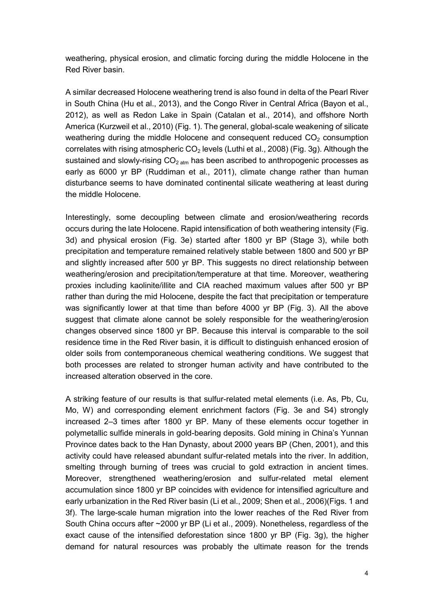weathering, physical erosion, and climatic forcing during the middle Holocene in the Red River basin.

A similar decreased Holocene weathering trend is also found in delta of the Pearl River in South China (Hu et al., 2013), and the Congo River in Central Africa (Bayon et al., 2012), as well as Redon Lake in Spain (Catalan et al., 2014), and offshore North America (Kurzweil et al., 2010) (Fig. 1). The general, global-scale weakening of silicate weathering during the middle Holocene and consequent reduced  $CO<sub>2</sub>$  consumption correlates with rising atmospheric  $CO<sub>2</sub>$  levels (Luthi et al., 2008) (Fig. 3g). Although the sustained and slowly-rising  $CO<sub>2 atm</sub>$  has been ascribed to anthropogenic processes as early as 6000 yr BP (Ruddiman et al., 2011), climate change rather than human disturbance seems to have dominated continental silicate weathering at least during the middle Holocene.

Interestingly, some decoupling between climate and erosion/weathering records occurs during the late Holocene. Rapid intensification of both weathering intensity (Fig. 3d) and physical erosion (Fig. 3e) started after 1800 yr BP (Stage 3), while both precipitation and temperature remained relatively stable between 1800 and 500 yr BP and slightly increased after 500 yr BP. This suggests no direct relationship between weathering/erosion and precipitation/temperature at that time. Moreover, weathering proxies including kaolinite/illite and CIA reached maximum values after 500 yr BP rather than during the mid Holocene, despite the fact that precipitation or temperature was significantly lower at that time than before 4000 yr BP (Fig. 3). All the above suggest that climate alone cannot be solely responsible for the weathering/erosion changes observed since 1800 yr BP. Because this interval is comparable to the soil residence time in the Red River basin, it is difficult to distinguish enhanced erosion of older soils from contemporaneous chemical weathering conditions. We suggest that both processes are related to stronger human activity and have contributed to the increased alteration observed in the core.

A striking feature of our results is that sulfur-related metal elements (i.e. As, Pb, Cu, Mo, W) and corresponding element enrichment factors (Fig. 3e and S4) strongly increased 2–3 times after 1800 yr BP. Many of these elements occur together in polymetallic sulfide minerals in gold-bearing deposits. Gold mining in China's Yunnan Province dates back to the Han Dynasty, about 2000 years BP (Chen, 2001), and this activity could have released abundant sulfur-related metals into the river. In addition, smelting through burning of trees was crucial to gold extraction in ancient times. Moreover, strengthened weathering/erosion and sulfur-related metal element accumulation since 1800 yr BP coincides with evidence for intensified agriculture and early urbanization in the Red River basin (Li et al., 2009; Shen et al., 2006)(Figs. 1 and 3f). The large-scale human migration into the lower reaches of the Red River from South China occurs after ~2000 yr BP (Li et al., 2009). Nonetheless, regardless of the exact cause of the intensified deforestation since 1800 yr BP (Fig. 3g), the higher demand for natural resources was probably the ultimate reason for the trends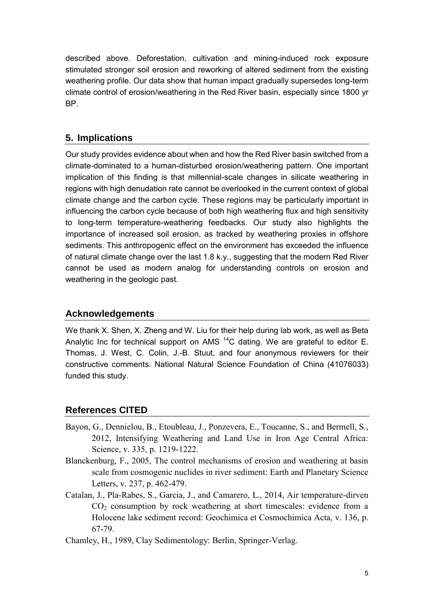described above. Deforestation, cultivation and mining-induced rock exposure stimulated stronger soil erosion and reworking of altered sediment from the existing weathering profile. Our data show that human impact gradually supersedes long-term climate control of erosion/weathering in the Red River basin, especially since 1800 yr BP.

#### **5. Implications**

Our study provides evidence about when and how the Red River basin switched from a climate-dominated to a human-disturbed erosion/weathering pattern. One important implication of this finding is that millennial-scale changes in silicate weathering in regions with high denudation rate cannot be overlooked in the current context of global climate change and the carbon cycle. These regions may be particularly important in influencing the carbon cycle because of both high weathering flux and high sensitivity to long-term temperature-weathering feedbacks. Our study also highlights the importance of increased soil erosion, as tracked by weathering proxies in offshore sediments. This anthropogenic effect on the environment has exceeded the influence of natural climate change over the last 1.8 k.y., suggesting that the modern Red River cannot be used as modern analog for understanding controls on erosion and weathering in the geologic past.

#### **Acknowledgements**

We thank X. Shen, X. Zheng and W. Liu for their help during lab work, as well as Beta Analytic Inc for technical support on AMS  $^{14}$ C dating. We are grateful to editor E. Thomas, J. West, C. Colin, J.-B. Stuut, and four anonymous reviewers for their constructive comments. National Natural Science Foundation of China (41076033) funded this study.

## **References CITED**

- Bayon, G., Dennielou, B., Etoubleau, J., Ponzevera, E., Toucanne, S., and Bermell, S., 2012, Intensifying Weathering and Land Use in Iron Age Central Africa: Science, v. 335, p. 1219-1222.
- Blanckenburg, F., 2005, The control mechanisms of erosion and weathering at basin scale from cosmogenic nuclides in river sediment: Earth and Planetary Science Letters, v. 237, p. 462-479.
- Catalan, J., Pla-Rabes, S., Garcia, J., and Camarero, L., 2014, Air temperature-dirven  $CO<sub>2</sub>$  consumption by rock weathering at short timescales: evidence from a Holocene lake sediment record: Geochimica et Cosmochimica Acta, v. 136, p. 67-79.
- Chamley, H., 1989, Clay Sedimentology: Berlin, Springer-Verlag.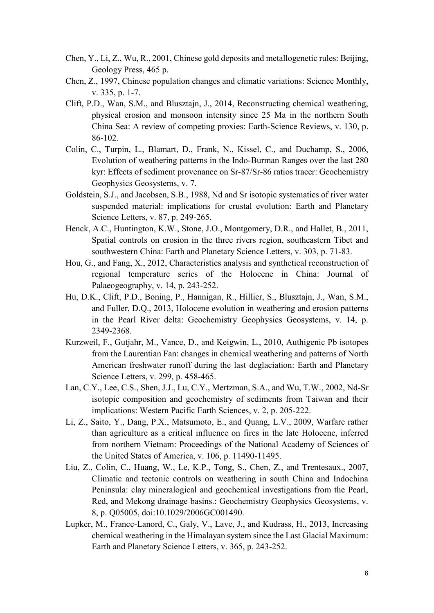- Chen, Y., Li, Z., Wu, R., 2001, Chinese gold deposits and metallogenetic rules: Beijing, Geology Press, 465 p.
- Chen, Z., 1997, Chinese population changes and climatic variations: Science Monthly, v. 335, p. 1-7.
- Clift, P.D., Wan, S.M., and Blusztajn, J., 2014, Reconstructing chemical weathering, physical erosion and monsoon intensity since 25 Ma in the northern South China Sea: A review of competing proxies: Earth-Science Reviews, v. 130, p. 86-102.
- Colin, C., Turpin, L., Blamart, D., Frank, N., Kissel, C., and Duchamp, S., 2006, Evolution of weathering patterns in the Indo-Burman Ranges over the last 280 kyr: Effects of sediment provenance on Sr-87/Sr-86 ratios tracer: Geochemistry Geophysics Geosystems, v. 7.
- Goldstein, S.J., and Jacobsen, S.B., 1988, Nd and Sr isotopic systematics of river water suspended material: implications for crustal evolution: Earth and Planetary Science Letters, v. 87, p. 249-265.
- Henck, A.C., Huntington, K.W., Stone, J.O., Montgomery, D.R., and Hallet, B., 2011, Spatial controls on erosion in the three rivers region, southeastern Tibet and southwestern China: Earth and Planetary Science Letters, v. 303, p. 71-83.
- Hou, G., and Fang, X., 2012, Characteristics analysis and synthetical reconstruction of regional temperature series of the Holocene in China: Journal of Palaeogeography, v. 14, p. 243-252.
- Hu, D.K., Clift, P.D., Boning, P., Hannigan, R., Hillier, S., Blusztajn, J., Wan, S.M., and Fuller, D.Q., 2013, Holocene evolution in weathering and erosion patterns in the Pearl River delta: Geochemistry Geophysics Geosystems, v. 14, p. 2349-2368.
- Kurzweil, F., Gutjahr, M., Vance, D., and Keigwin, L., 2010, Authigenic Pb isotopes from the Laurentian Fan: changes in chemical weathering and patterns of North American freshwater runoff during the last deglaciation: Earth and Planetary Science Letters, v. 299, p. 458-465.
- Lan, C.Y., Lee, C.S., Shen, J.J., Lu, C.Y., Mertzman, S.A., and Wu, T.W., 2002, Nd-Sr isotopic composition and geochemistry of sediments from Taiwan and their implications: Western Pacific Earth Sciences, v. 2, p. 205-222.
- Li, Z., Saito, Y., Dang, P.X., Matsumoto, E., and Quang, L.V., 2009, Warfare rather than agriculture as a critical influence on fires in the late Holocene, inferred from northern Vietnam: Proceedings of the National Academy of Sciences of the United States of America, v. 106, p. 11490-11495.
- Liu, Z., Colin, C., Huang, W., Le, K.P., Tong, S., Chen, Z., and Trentesaux., 2007, Climatic and tectonic controls on weathering in south China and Indochina Peninsula: clay mineralogical and geochemical investigations from the Pearl, Red, and Mekong drainage basins.: Geochemistry Geophysics Geosystems, v. 8, p. Q05005, doi:10.1029/2006GC001490.
- Lupker, M., France-Lanord, C., Galy, V., Lave, J., and Kudrass, H., 2013, Increasing chemical weathering in the Himalayan system since the Last Glacial Maximum: Earth and Planetary Science Letters, v. 365, p. 243-252.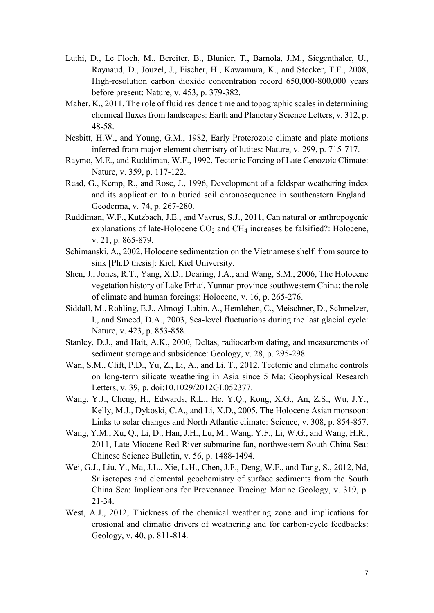- Luthi, D., Le Floch, M., Bereiter, B., Blunier, T., Barnola, J.M., Siegenthaler, U., Raynaud, D., Jouzel, J., Fischer, H., Kawamura, K., and Stocker, T.F., 2008, High-resolution carbon dioxide concentration record 650,000-800,000 years before present: Nature, v. 453, p. 379-382.
- Maher, K., 2011, The role of fluid residence time and topographic scales in determining chemical fluxes from landscapes: Earth and Planetary Science Letters, v. 312, p. 48-58.
- Nesbitt, H.W., and Young, G.M., 1982, Early Proterozoic climate and plate motions inferred from major element chemistry of lutites: Nature, v. 299, p. 715-717.
- Raymo, M.E., and Ruddiman, W.F., 1992, Tectonic Forcing of Late Cenozoic Climate: Nature, v. 359, p. 117-122.
- Read, G., Kemp, R., and Rose, J., 1996, Development of a feldspar weathering index and its application to a buried soil chronosequence in southeastern England: Geoderma, v. 74, p. 267-280.
- Ruddiman, W.F., Kutzbach, J.E., and Vavrus, S.J., 2011, Can natural or anthropogenic explanations of late-Holocene  $CO<sub>2</sub>$  and  $CH<sub>4</sub>$  increases be falsified?: Holocene, v. 21, p. 865-879.
- Schimanski, A., 2002, Holocene sedimentation on the Vietnamese shelf: from source to sink [Ph.D thesis]: Kiel, Kiel University.
- Shen, J., Jones, R.T., Yang, X.D., Dearing, J.A., and Wang, S.M., 2006, The Holocene vegetation history of Lake Erhai, Yunnan province southwestern China: the role of climate and human forcings: Holocene, v. 16, p. 265-276.
- Siddall, M., Rohling, E.J., Almogi-Labin, A., Hemleben, C., Meischner, D., Schmelzer, I., and Smeed, D.A., 2003, Sea-level fluctuations during the last glacial cycle: Nature, v. 423, p. 853-858.
- Stanley, D.J., and Hait, A.K., 2000, Deltas, radiocarbon dating, and measurements of sediment storage and subsidence: Geology, v. 28, p. 295-298.
- Wan, S.M., Clift, P.D., Yu, Z., Li, A., and Li, T., 2012, Tectonic and climatic controls on long-term silicate weathering in Asia since 5 Ma: Geophysical Research Letters, v. 39, p. doi:10.1029/2012GL052377.
- Wang, Y.J., Cheng, H., Edwards, R.L., He, Y.Q., Kong, X.G., An, Z.S., Wu, J.Y., Kelly, M.J., Dykoski, C.A., and Li, X.D., 2005, The Holocene Asian monsoon: Links to solar changes and North Atlantic climate: Science, v. 308, p. 854-857.
- Wang, Y.M., Xu, Q., Li, D., Han, J.H., Lu, M., Wang, Y.F., Li, W.G., and Wang, H.R., 2011, Late Miocene Red River submarine fan, northwestern South China Sea: Chinese Science Bulletin, v. 56, p. 1488-1494.
- Wei, G.J., Liu, Y., Ma, J.L., Xie, L.H., Chen, J.F., Deng, W.F., and Tang, S., 2012, Nd, Sr isotopes and elemental geochemistry of surface sediments from the South China Sea: Implications for Provenance Tracing: Marine Geology, v. 319, p. 21-34.
- West, A.J., 2012, Thickness of the chemical weathering zone and implications for erosional and climatic drivers of weathering and for carbon-cycle feedbacks: Geology, v. 40, p. 811-814.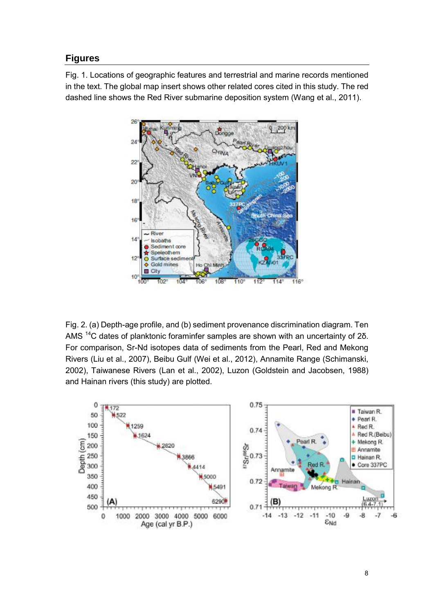## **Figures**

Fig. 1. Locations of geographic features and terrestrial and marine records mentioned in the text. The global map insert shows other related cores cited in this study. The red dashed line shows the Red River submarine deposition system (Wang et al., 2011).



Fig. 2. (a) Depth-age profile, and (b) sediment provenance discrimination diagram. Ten AMS <sup>14</sup>C dates of planktonic foraminfer samples are shown with an uncertainty of 2δ. For comparison, Sr-Nd isotopes data of sediments from the Pearl, Red and Mekong Rivers (Liu et al., 2007), Beibu Gulf (Wei et al., 2012), Annamite Range (Schimanski, 2002), Taiwanese Rivers (Lan et al., 2002), Luzon (Goldstein and Jacobsen, 1988) and Hainan rivers (this study) are plotted.